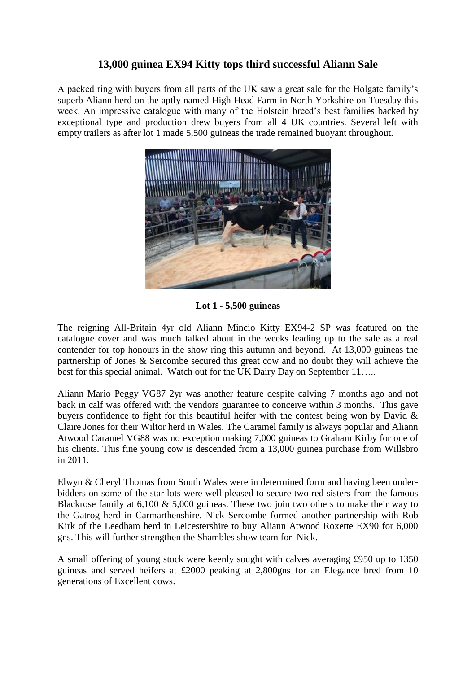## **13,000 guinea EX94 Kitty tops third successful Aliann Sale**

A packed ring with buyers from all parts of the UK saw a great sale for the Holgate family's superb Aliann herd on the aptly named High Head Farm in North Yorkshire on Tuesday this week. An impressive catalogue with many of the Holstein breed's best families backed by exceptional type and production drew buyers from all 4 UK countries. Several left with empty trailers as after lot 1 made 5,500 guineas the trade remained buoyant throughout.



**Lot 1 - 5,500 guineas**

The reigning All-Britain 4yr old Aliann Mincio Kitty EX94-2 SP was featured on the catalogue cover and was much talked about in the weeks leading up to the sale as a real contender for top honours in the show ring this autumn and beyond. At 13,000 guineas the partnership of Jones & Sercombe secured this great cow and no doubt they will achieve the best for this special animal. Watch out for the UK Dairy Day on September 11…..

Aliann Mario Peggy VG87 2yr was another feature despite calving 7 months ago and not back in calf was offered with the vendors guarantee to conceive within 3 months. This gave buyers confidence to fight for this beautiful heifer with the contest being won by David & Claire Jones for their Wiltor herd in Wales. The Caramel family is always popular and Aliann Atwood Caramel VG88 was no exception making 7,000 guineas to Graham Kirby for one of his clients. This fine young cow is descended from a 13,000 guinea purchase from Willsbro in 2011.

Elwyn & Cheryl Thomas from South Wales were in determined form and having been underbidders on some of the star lots were well pleased to secure two red sisters from the famous Blackrose family at 6,100 & 5,000 guineas. These two join two others to make their way to the Gatrog herd in Carmarthenshire. Nick Sercombe formed another partnership with Rob Kirk of the Leedham herd in Leicestershire to buy Aliann Atwood Roxette EX90 for 6,000 gns. This will further strengthen the Shambles show team for Nick.

A small offering of young stock were keenly sought with calves averaging £950 up to 1350 guineas and served heifers at £2000 peaking at 2,800gns for an Elegance bred from 10 generations of Excellent cows.